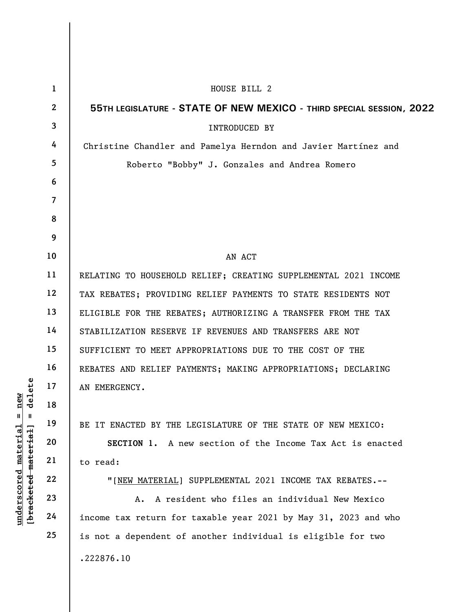UNDERGENCY.<br>
WENTHE MATERIAL 19<br>
UNDERGENCY.<br>
20<br>
UNDERGENCY.<br>
20<br>
21<br>
22<br>
UNDERGENCY.<br>
22<br>
22<br>
UNDERGENCY.<br>
22<br>
UNDERGENCY.<br>
22<br>
UNDERGENCY.<br>
22<br>
UNDERGENCY.<br>
22<br>
UNDERGENTION 1. A not<br>
CO read:<br>
23<br>
24<br>
Income tax return 1 2 3 4 5 6 7 8 9 10 11 12 13 14 15 16 17 18 19 20 21 22 23 24 25 HOUSE BILL 2 55TH LEGISLATURE - STATE OF NEW MEXICO - THIRD SPECIAL SESSION, 2022 INTRODUCED BY Christine Chandler and Pamelya Herndon and Javier Martínez and Roberto "Bobby" J. Gonzales and Andrea Romero AN ACT RELATING TO HOUSEHOLD RELIEF; CREATING SUPPLEMENTAL 2021 INCOME TAX REBATES; PROVIDING RELIEF PAYMENTS TO STATE RESIDENTS NOT ELIGIBLE FOR THE REBATES; AUTHORIZING A TRANSFER FROM THE TAX STABILIZATION RESERVE IF REVENUES AND TRANSFERS ARE NOT SUFFICIENT TO MEET APPROPRIATIONS DUE TO THE COST OF THE REBATES AND RELIEF PAYMENTS; MAKING APPROPRIATIONS; DECLARING AN EMERGENCY. BE IT ENACTED BY THE LEGISLATURE OF THE STATE OF NEW MEXICO: SECTION 1. A new section of the Income Tax Act is enacted to read: "[NEW MATERIAL] SUPPLEMENTAL 2021 INCOME TAX REBATES.-- A. A resident who files an individual New Mexico income tax return for taxable year 2021 by May 31, 2023 and who is not a dependent of another individual is eligible for two .222876.10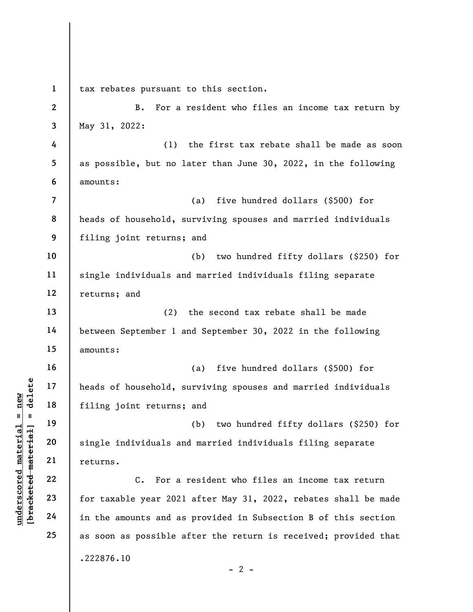underscored material = new [bracketed material] = delete 1 2 3 4 5 6 7 8 9 10 11 12 13 14 15 16 17 18 19 20 21 22 23 24 25 tax rebates pursuant to this section. B. For a resident who files an income tax return by May 31, 2022: (1) the first tax rebate shall be made as soon as possible, but no later than June 30, 2022, in the following amounts: (a) five hundred dollars (\$500) for heads of household, surviving spouses and married individuals filing joint returns; and (b) two hundred fifty dollars (\$250) for single individuals and married individuals filing separate returns; and (2) the second tax rebate shall be made between September 1 and September 30, 2022 in the following amounts: (a) five hundred dollars (\$500) for heads of household, surviving spouses and married individuals filing joint returns; and (b) two hundred fifty dollars (\$250) for single individuals and married individuals filing separate returns. C. For a resident who files an income tax return for taxable year 2021 after May 31, 2022, rebates shall be made in the amounts and as provided in Subsection B of this section as soon as possible after the return is received; provided that .222876.10  $- 2 -$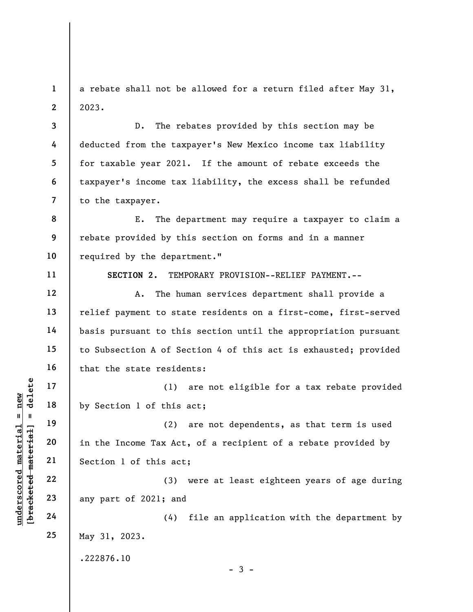1 2 a rebate shall not be allowed for a return filed after May 31, 2023.

D. The rebates provided by this section may be deducted from the taxpayer's New Mexico income tax liability for taxable year 2021. If the amount of rebate exceeds the taxpayer's income tax liability, the excess shall be refunded to the taxpayer.

8 9 10 E. The department may require a taxpayer to claim a rebate provided by this section on forms and in a manner required by the department."

SECTION 2. TEMPORARY PROVISION--RELIEF PAYMENT.--

A. The human services department shall provide a relief payment to state residents on a first-come, first-served basis pursuant to this section until the appropriation pursuant to Subsection A of Section 4 of this act is exhausted; provided that the state residents:

(1) are not eligible for a tax rebate provided by Section 1 of this act;

underscore in the Income Tax Act<br>
understand material in the Income Tax Act<br>
we were the section 1 of this act<br>
21<br>
22<br>
23<br>
24<br>
24<br>
24<br>
24<br>
24<br>
24<br>
24<br>
24 (2) are not dependents, as that term is used in the Income Tax Act, of a recipient of a rebate provided by Section 1 of this act;

(3) were at least eighteen years of age during any part of 2021; and

(4) file an application with the department by May 31, 2023.

.222876.10

3

4

5

6

7

11

12

13

14

15

16

17

18

19

20

21

22

23

24

25

 $-3 -$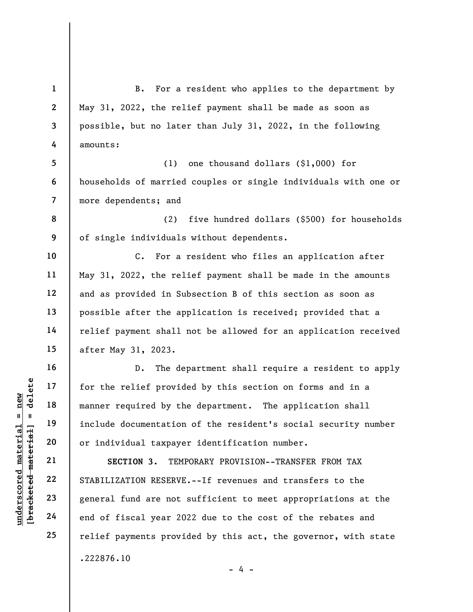UN EXECTION 3. TEM:<br>
WHO IS TABILIZATION RESERVE<br>
UNIVERSE 22<br>
UNIVERSE 23<br>
UNIVERSE 23<br>
UNIVERSE 23<br>
UNIVERSE 24<br>
UNIVERSE 24<br>
UNIVERSE 24<br>
UNIVERSE 24<br>
UNIVERSE 24<br>
UNIVERSE 24<br>
UNIVERSE 24<br>
UNIVERSE 24<br>
UNIVERSE 24<br>
UNI 1 2 3 4 5 6 7 8 9 10 11 12 13 14 15 16 17 18 19 20 21 22 23 24 25 B. For a resident who applies to the department by May 31, 2022, the relief payment shall be made as soon as possible, but no later than July 31, 2022, in the following amounts: (1) one thousand dollars (\$1,000) for households of married couples or single individuals with one or more dependents; and (2) five hundred dollars (\$500) for households of single individuals without dependents. C. For a resident who files an application after May 31, 2022, the relief payment shall be made in the amounts and as provided in Subsection B of this section as soon as possible after the application is received; provided that a relief payment shall not be allowed for an application received after May 31, 2023. D. The department shall require a resident to apply for the relief provided by this section on forms and in a manner required by the department. The application shall include documentation of the resident's social security number or individual taxpayer identification number. SECTION 3. TEMPORARY PROVISION--TRANSFER FROM TAX STABILIZATION RESERVE.--If revenues and transfers to the general fund are not sufficient to meet appropriations at the end of fiscal year 2022 due to the cost of the rebates and relief payments provided by this act, the governor, with state

- 4 -

.222876.10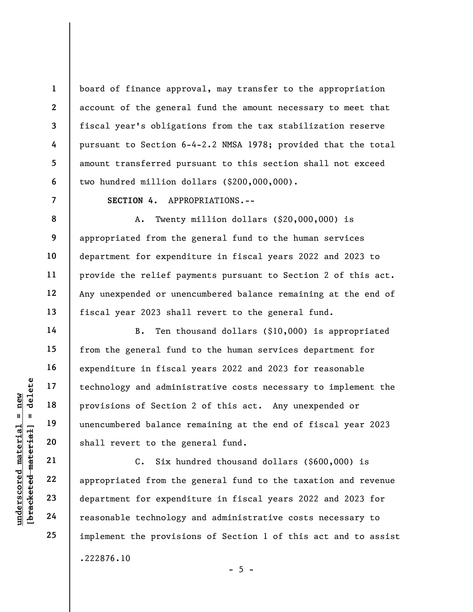board of finance approval, may transfer to the appropriation account of the general fund the amount necessary to meet that fiscal year's obligations from the tax stabilization reserve pursuant to Section 6-4-2.2 NMSA 1978; provided that the total amount transferred pursuant to this section shall not exceed two hundred million dollars (\$200,000,000).

SECTION 4. APPROPRIATIONS.--

A. Twenty million dollars (\$20,000,000) is appropriated from the general fund to the human services department for expenditure in fiscal years 2022 and 2023 to provide the relief payments pursuant to Section 2 of this act. Any unexpended or unencumbered balance remaining at the end of fiscal year 2023 shall revert to the general fund.

understand material material end and the correction<br>  $\begin{array}{c|c|c|c} \hline \text{u} & \text{u} & \text{u}} & \text{u} & \text{u}} & \text{u} & \text{u}} & \text{u} & \text{u}} & \text{u} & \text{u}} & \text{u}} & \text{u}} & \text{u}} & \text{u}} & \text{u}} & \text{u}} & \text{u}} & \text{u}} & \text{u}} & \text{u}} & \text{u}} & \text{u}} & \text{u}} & \text{u}} & \text$ B. Ten thousand dollars (\$10,000) is appropriated from the general fund to the human services department for expenditure in fiscal years 2022 and 2023 for reasonable technology and administrative costs necessary to implement the provisions of Section 2 of this act. Any unexpended or unencumbered balance remaining at the end of fiscal year 2023 shall revert to the general fund.

C. Six hundred thousand dollars (\$600,000) is appropriated from the general fund to the taxation and revenue department for expenditure in fiscal years 2022 and 2023 for reasonable technology and administrative costs necessary to implement the provisions of Section 1 of this act and to assist .222876.10

1

2

3

4

5

6

7

8

9

10

11

12

13

14

15

16

17

18

19

20

21

22

23

24

25

 $- 5 -$